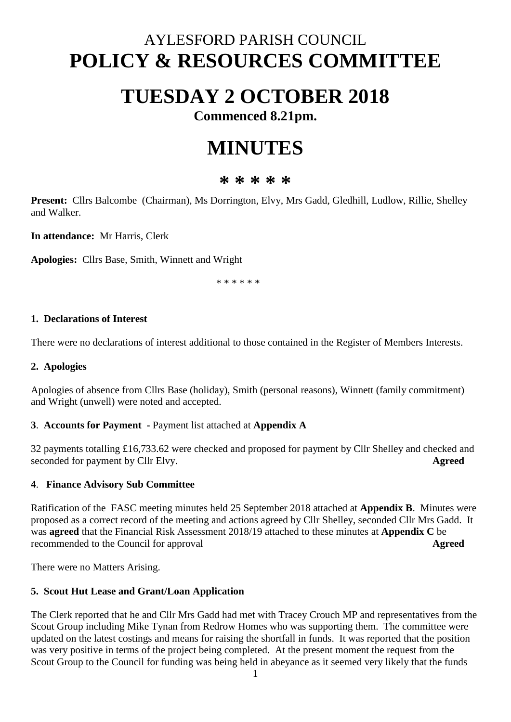## AYLESFORD PARISH COUNCIL **POLICY & RESOURCES COMMITTEE**

## **TUESDAY 2 OCTOBER 2018**

**Commenced 8.21pm.**

# **MINUTES**

### **\* \* \* \* \***

**Present:** Cllrs Balcombe (Chairman), Ms Dorrington, Elvy, Mrs Gadd, Gledhill, Ludlow, Rillie, Shelley and Walker.

**In attendance:** Mr Harris, Clerk

**Apologies:** Cllrs Base, Smith, Winnett and Wright

\* \* \* \* \* \*

#### **1. Declarations of Interest**

There were no declarations of interest additional to those contained in the Register of Members Interests.

#### **2. Apologies**

Apologies of absence from Cllrs Base (holiday), Smith (personal reasons), Winnett (family commitment) and Wright (unwell) were noted and accepted.

#### **3**. **Accounts for Payment -** Payment list attached at **Appendix A**

32 payments totalling £16,733.62 were checked and proposed for payment by Cllr Shelley and checked and seconded for payment by Cllr Elvy. **Agreed**

#### **4**. **Finance Advisory Sub Committee**

Ratification of the FASC meeting minutes held 25 September 2018 attached at **Appendix B**. Minutes were proposed as a correct record of the meeting and actions agreed by Cllr Shelley, seconded Cllr Mrs Gadd. It was **agreed** that the Financial Risk Assessment 2018/19 attached to these minutes at **Appendix C** be recommended to the Council for approval **Agreed**

There were no Matters Arising.

#### **5. Scout Hut Lease and Grant/Loan Application**

The Clerk reported that he and Cllr Mrs Gadd had met with Tracey Crouch MP and representatives from the Scout Group including Mike Tynan from Redrow Homes who was supporting them. The committee were updated on the latest costings and means for raising the shortfall in funds. It was reported that the position was very positive in terms of the project being completed. At the present moment the request from the Scout Group to the Council for funding was being held in abeyance as it seemed very likely that the funds